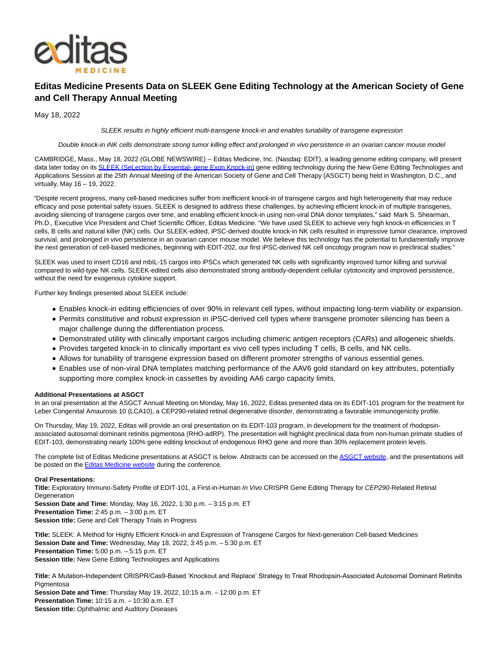

# **Editas Medicine Presents Data on SLEEK Gene Editing Technology at the American Society of Gene and Cell Therapy Annual Meeting**

May 18, 2022

SLEEK results in highly efficient multi-transgene knock-in and enables tunability of transgene expression

Double knock-in iNK cells demonstrate strong tumor killing effect and prolonged in vivo persistence in an ovarian cancer mouse model

CAMBRIDGE, Mass., May 18, 2022 (GLOBE NEWSWIRE) -- Editas Medicine, Inc. (Nasdaq: EDIT), a leading genome editing company, will present data later today on its [SLEEK \(SeLection by Essential- gene Exon Knock-in\) g](https://www.globenewswire.com/Tracker?data=yhsgIRx4Gi1kfJhnKhMt94bHC3OdZ_c_3B_KgNQhtoMMIw-5MY7mG466ifCTe5Z1eTt4aF6ZGDpDvR2hV8w2dNS4GcQiqktSec7XStRactdOukP0OI-3b2J2KTNN1tzMQh_PJZ1ctOo_19-FEivXCPBcPz4m6VP2JwGCGyydEbZeEXnB99pCMDBv_EgZ6Ngl)ene editing technology during the New Gene Editing Technologies and Applications Session at the 25th Annual Meeting of the American Society of Gene and Cell Therapy (ASGCT) being held in Washington, D.C., and virtually, May 16 – 19, 2022.

"Despite recent progress, many cell-based medicines suffer from inefficient knock-in of transgene cargos and high heterogeneity that may reduce efficacy and pose potential safety issues. SLEEK is designed to address these challenges, by achieving efficient knock-in of multiple transgenes, avoiding silencing of transgene cargos over time, and enabling efficient knock-in using non-viral DNA donor templates," said Mark S. Shearman, Ph.D., Executive Vice President and Chief Scientific Officer, Editas Medicine. "We have used SLEEK to achieve very high knock-in efficiencies in T cells, B cells and natural killer (NK) cells. Our SLEEK-edited, iPSC-derived double knock-in NK cells resulted in impressive tumor clearance, improved survival, and prolonged in vivo persistence in an ovarian cancer mouse model. We believe this technology has the potential to fundamentally improve the next generation of cell-based medicines, beginning with EDIT-202, our first iPSC-derived NK cell oncology program now in preclinical studies."

SLEEK was used to insert CD16 and mbIL-15 cargos into iPSCs which generated NK cells with significantly improved tumor killing and survival compared to wild-type NK cells. SLEEK-edited cells also demonstrated strong antibody-dependent cellular cytotoxicity and improved persistence, without the need for exogenous cytokine support.

Further key findings presented about SLEEK include:

- Enables knock-in editing efficiencies of over 90% in relevant cell types, without impacting long-term viability or expansion.
- Permits constitutive and robust expression in iPSC-derived cell types where transgene promoter silencing has been a major challenge during the differentiation process.
- Demonstrated utility with clinically important cargos including chimeric antigen receptors (CARs) and allogeneic shields.
- Provides targeted knock-in to clinically important ex vivo cell types including T cells, B cells, and NK cells.
- Allows for tunability of transgene expression based on different promoter strengths of various essential genes.
- Enables use of non-viral DNA templates matching performance of the AAV6 gold standard on key attributes, potentially supporting more complex knock-in cassettes by avoiding AA6 cargo capacity limits.

### **Additional Presentations at ASGCT**

In an oral presentation at the ASGCT Annual Meeting on Monday, May 16, 2022, Editas presented data on its EDIT-101 program for the treatment for Leber Congenital Amaurosis 10 (LCA10), a CEP290-related retinal degenerative disorder, demonstrating a favorable immunogenicity profile.

On Thursday, May 19, 2022, Editas will provide an oral presentation on its EDIT-103 program, in development for the treatment of rhodopsinassociated autosomal dominant retinitis pigmentosa (RHO-adRP). The presentation will highlight preclinical data from non-human primate studies of EDIT-103, demonstrating nearly 100% gene editing knockout of endogenous RHO gene and more than 30% replacement protein levels.

The complete list of Editas Medicine presentations at ASGCT is below. Abstracts can be accessed on the [ASGCT website,](https://www.globenewswire.com/Tracker?data=yrZyjOhLtXRaaHtnW0268HoMOg2c_HFRpn-JLbPvIrE7-DGwDtKmRPCcm95CN4gi41gsB6cPYa6yQrmilXoG5LHixur-dLBqxtuMF9_GaBc=) and the presentations will be posted on the **Editas Medicine website** during the conference.

### **Oral Presentations:**

**Title:** Exploratory Immuno-Safety Profile of EDIT-101, a First-in-Human In Vivo CRISPR Gene Editing Therapy for CEP290-Related Retinal **Degeneration** 

**Session Date and Time:** Monday, May 16, 2022, 1:30 p.m. – 3:15 p.m. ET **Presentation Time:** 2:45 p.m. – 3:00 p.m. ET **Session title:** Gene and Cell Therapy Trials in Progress

**Title:** SLEEK: A Method for Highly Efficient Knock-in and Expression of Transgene Cargos for Next-generation Cell-based Medicines **Session Date and Time:** Wednesday, May 18, 2022, 3:45 p.m. – 5:30 p.m. ET **Presentation Time:** 5:00 p.m. – 5:15 p.m. ET **Session title:** New Gene Editing Technologies and Applications

**Title:** A Mutation-Independent CRISPR/Cas9-Based ʻKnockout and Replace' Strategy to Treat Rhodopsin-Associated Autosomal Dominant Retinitis Pigmentosa

**Session Date and Time:** Thursday May 19, 2022, 10:15 a.m. – 12:00 p.m. ET **Presentation Time:** 10:15 a.m. – 10:30 a.m. ET **Session title:** Ophthalmic and Auditory Diseases